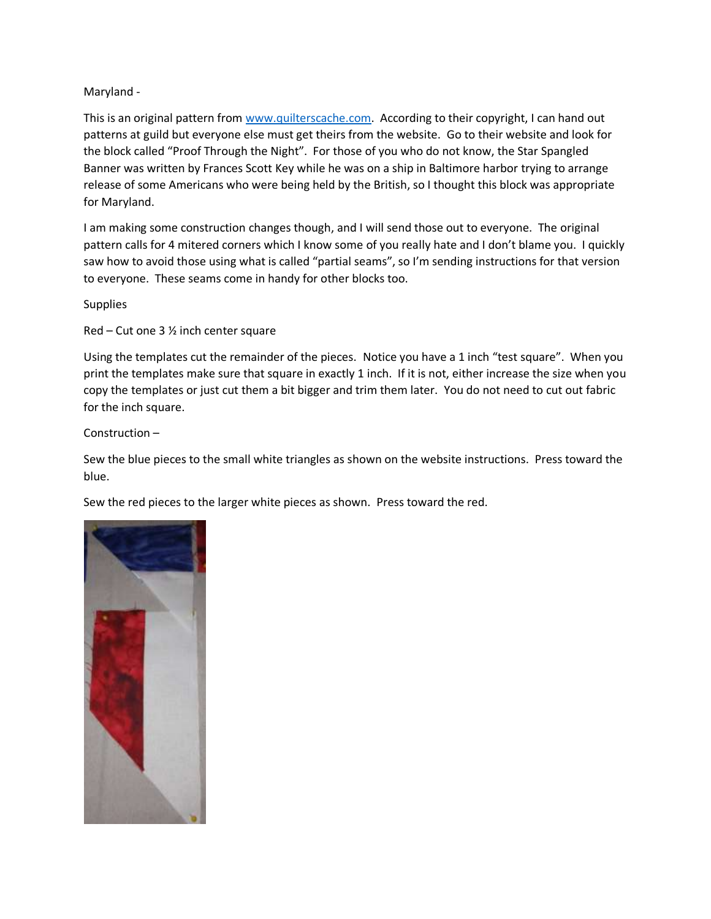## Maryland -

This is an original pattern from [www.quilterscache.com.](http://www.quilterscache.com/) According to their copyright, I can hand out patterns at guild but everyone else must get theirs from the website. Go to their website and look for the block called "Proof Through the Night". For those of you who do not know, the Star Spangled Banner was written by Frances Scott Key while he was on a ship in Baltimore harbor trying to arrange release of some Americans who were being held by the British, so I thought this block was appropriate for Maryland.

I am making some construction changes though, and I will send those out to everyone. The original pattern calls for 4 mitered corners which I know some of you really hate and I don't blame you. I quickly saw how to avoid those using what is called "partial seams", so I'm sending instructions for that version to everyone. These seams come in handy for other blocks too.

**Supplies** 

Red – Cut one 3 ½ inch center square

Using the templates cut the remainder of the pieces. Notice you have a 1 inch "test square". When you print the templates make sure that square in exactly 1 inch. If it is not, either increase the size when you copy the templates or just cut them a bit bigger and trim them later. You do not need to cut out fabric for the inch square.

Construction –

Sew the blue pieces to the small white triangles as shown on the website instructions. Press toward the blue.

Sew the red pieces to the larger white pieces as shown. Press toward the red.

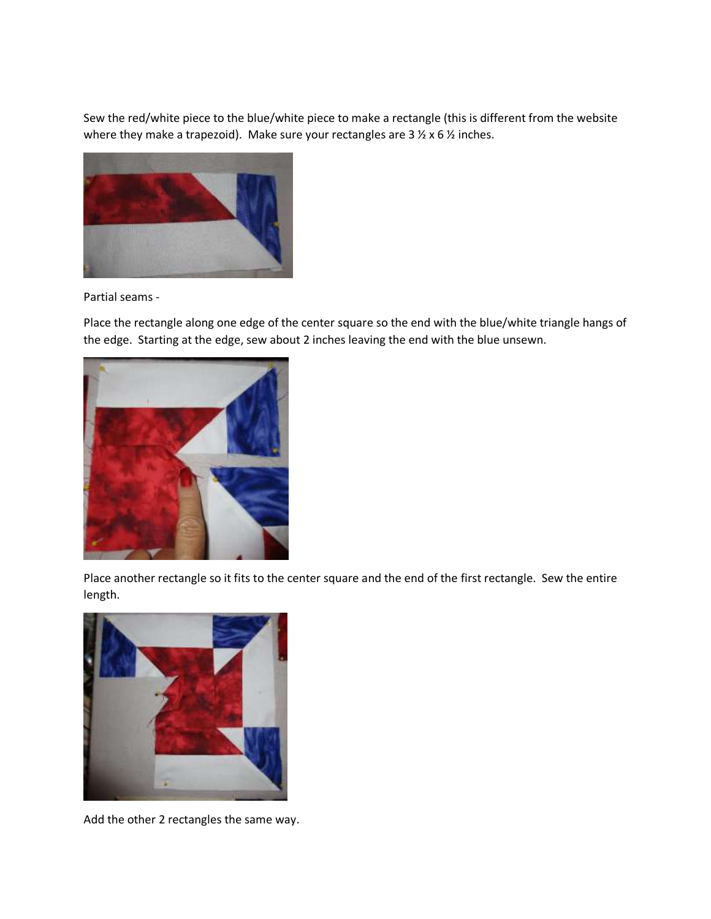Sew the red/white piece to the blue/white piece to make a rectangle (this is different from the website where they make a trapezoid). Make sure your rectangles are  $3 \frac{1}{2} \times 6 \frac{1}{2}$  inches.



Partial seams -

Place the rectangle along one edge of the center square so the end with the blue/white triangle hangs of the edge. Starting at the edge, sew about 2 inches leaving the end with the blue unsewn.



Place another rectangle so it fits to the center square and the end of the first rectangle. Sew the entire length.



Add the other 2 rectangles the same way.